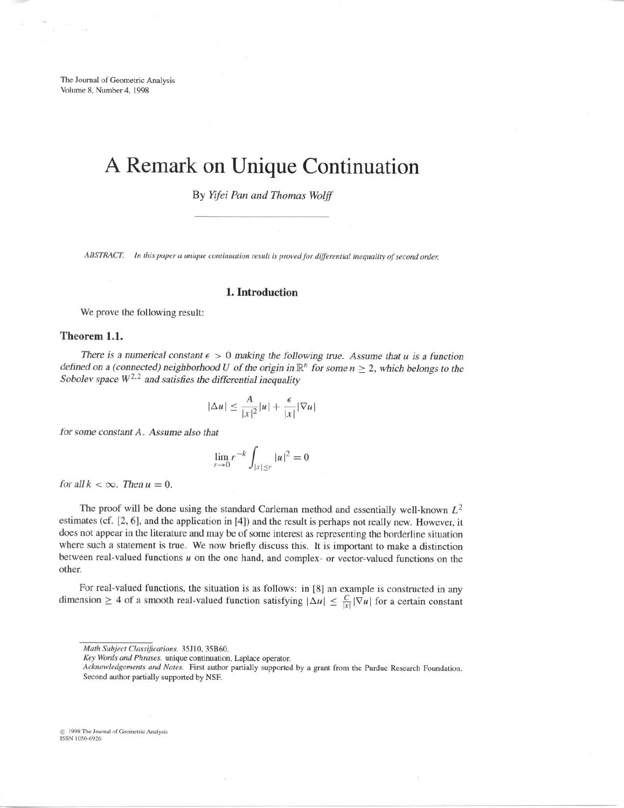The Journal of Geometric Analysis Volume 8, Number 4, 1998

# A Remark on Unique Continuation

By Yifei Pan and Thomas Wolff

ABSTRACT. In this paper a unique continuation result is proved for differential inequality of second order.

# 1. Introduction

We prove the following result:

# Theorem 1.1.

There is a numerical constant  $\epsilon > 0$  making the following true. Assume that u is a function defined on a (connected) neighborhood U of the origin in  $\mathbb{R}^n$  for some  $n \geq 2$ , which belongs to the Sobolev space  $W^{2,2}$  and satisfies the differential inequality

$$
|\Delta u| \le \frac{A}{|x|^2} |u| + \frac{\epsilon}{|x|} |\nabla u|
$$

for some constant A. Assume also that

$$
\lim_{r \to 0} r^{-k} \int_{|x| \le r} |u|^2 = 0
$$

for all  $k < \infty$ . Then  $u = 0$ .

The proof will be done using the standard Carleman method and essentially well-known  $L^2$ estimates (cf . [2, 6], and the application in [4]) and the result is perhaps not really new. However, it does not appear in the literature and may be of some interest as representing the borderline situation where such a statement is true. We now briefly discuss this. It is important to make a distinction between real-valued functions  $u$  on the one hand, and complex- or vector-valued functions on the other.

For real-valued functions, the situation is as follows: in [8] an example is constructed in any dimension  $\geq 4$  of a smooth real-valued function satisfying  $|\Delta u| \leq \frac{C}{|x|} |\nabla u|$  for a certain constant

1998 The Journal of Geometric Analysis ISSN 1050-6926

Math Subject Classifications. 35J10, 35B60.

Key Words and Phrases. unique continuation, Laplace operator.

Acknowledgements and Notes. First author partially supported by a grant from the Purdue Research Foundation. Second author partially supported by NSF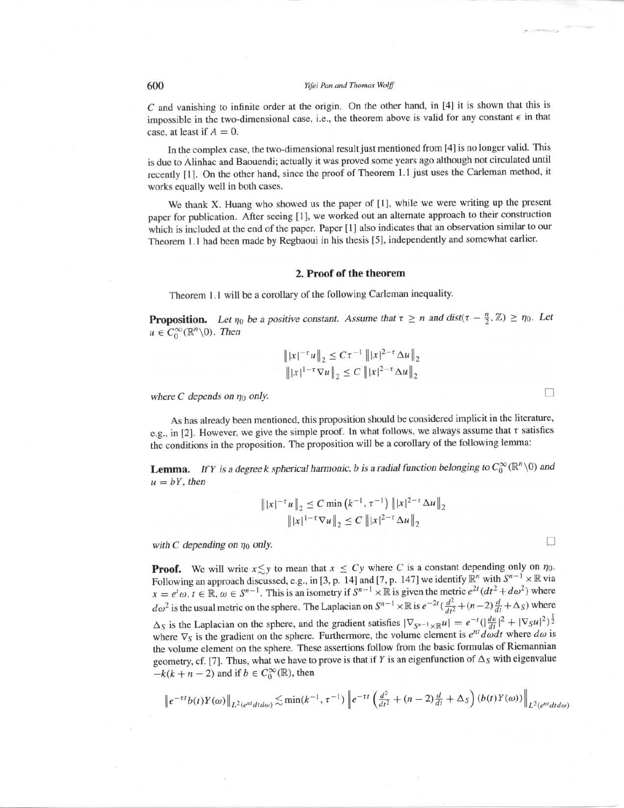# 600 Yifei Pan and Thomas Wolff

C and vanishing to infinite order at the origin. On the other hand, in [4] it is shown that this is impossible in the two-dimensional case, i.e., the theorem above is valid for any constant  $\epsilon$  in that case, at least if  $A = 0$ .

In the complex case, the two-dimensional result just mentioned from [4] is no longer valid. This is due to Alinhac and Baouendi; actually it was proved some years ago although not circulated until recently [1]. On the other hand, since the proof of Theorem 1.1 just uses the Carleman method, it works equally well in both cases.

We thank X. Huang who showed us the paper of [1], while we were writing up the present paper for publication. After seeing [1], we worked out an alternate approach to their construction which is included at the end of the paper. Paper [1] also indicates that an observation similar to our Theorem 1.1 had been made by Regbaoui in his thesis [5], independently and somewhat earlier.

# 2. Proof of the theorem

Theorem 1.1 will be a corollary of the following Carleman inequality.

**Proposition.** Let  $\eta_0$  be a positive constant. Assume that  $\tau \geq n$  and  $dist(\tau - \frac{n}{2}, \mathbb{Z}) \geq \eta_0$ . Let  $u \in C_0^{\infty}(\mathbb{R}^n \setminus 0)$ . Then

$$
||x|^{-\tau}u||_2 \leq C\tau^{-1} ||x|^{2-\tau}\Delta u||_2
$$
  
 
$$
||x|^{1-\tau}\nabla u||_2 \leq C ||x|^{2-\tau}\Delta u||_2
$$

 $\Box$ 

 $\Box$ 

where C depends on  $\eta_0$  only.

As has already been mentioned, this proposition should be considered implicit in the literature, e.g., in [2]. However, we give the simple proof. In what follows, we always assume that  $\tau$  satisfies the conditions in the proposition . The proposition will be <sup>a</sup> corollary of the following lemma:

**Lemma.** If Y is a degree k spherical harmonic, b is a radial function belonging to  $C_0^{\infty}(\mathbb{R}^n \setminus 0)$  and  $u = bY$ , then

$$
||x|^{-\tau}u||_2 \leq C \min (k^{-1}, \tau^{-1}) ||x|^{2-\tau} \Delta u||_2
$$
  
 
$$
||x|^{1-\tau} \nabla u||_2 \leq C ||x|^{2-\tau} \Delta u||_2
$$

with C depending on  $\eta_0$  only.

**Proof.** We will write  $x \leq y$  to mean that  $x \leq Cy$  where C is a constant depending only on  $\eta_0$ . Following an approach discussed, e.g., in [3, p. 14] and [7, p. 147] we identify  $\mathbb{R}^n$  with  $S^{n-1} \times \mathbb{R}$  via  $x = e^t \omega$ ,  $t \in \mathbb{R}$ ,  $\omega \in S^{n-1}$ . This is an isometry if  $S^{n-1} \times \mathbb{R}$  is given the metric  $e^{2t} (dt^2 + d\omega^2)$  where  $d\omega^2$  is the usual metric on the sphere. The Laplacian on  $S^{n-1} \times \mathbb{R}$  is  $e^{-2t}(\frac{d^2}{dt^2} + (n-2)\frac{d}{dt} + \Delta_S)$  where  $\Delta_S$  is the Laplacian on the sphere, and the gradient satisfies  $|\nabla_{S^{n-1}\times\mathbb{R}} u| = e^{-t}(|\frac{du}{dt}|^2 + |\nabla_S u|^2)^{\frac{1}{2}}$ where  $\nabla_S$  is the gradient on the sphere. Furthermore, the volume element is  $e^{nt}d\omega dt$  where  $d\omega$  is the volume element on the sphere. These assertions follow from the basic formulas of Riemannian geometry, cf. [7]. Thus, what we have to prove is that if Y is an eigenfunction of  $\Delta_S$  with eigenvalue  $-k(k + n - 2)$  and if  $b \in C_0^{\infty}(\mathbb{R})$ , then

$$
\left\|e^{-\tau t}b(t)Y(\omega)\right\|_{L^2(e^{nt}dtd\omega)} \lesssim \min(k^{-1},\tau^{-1})\left\|e^{-\tau t}\left(\frac{d^2}{dt^2}+(n-2)\frac{d}{dt}+\Delta_S\right)(b(t)Y(\omega))\right\|_{L^2(e^{nt}dtd\omega)}
$$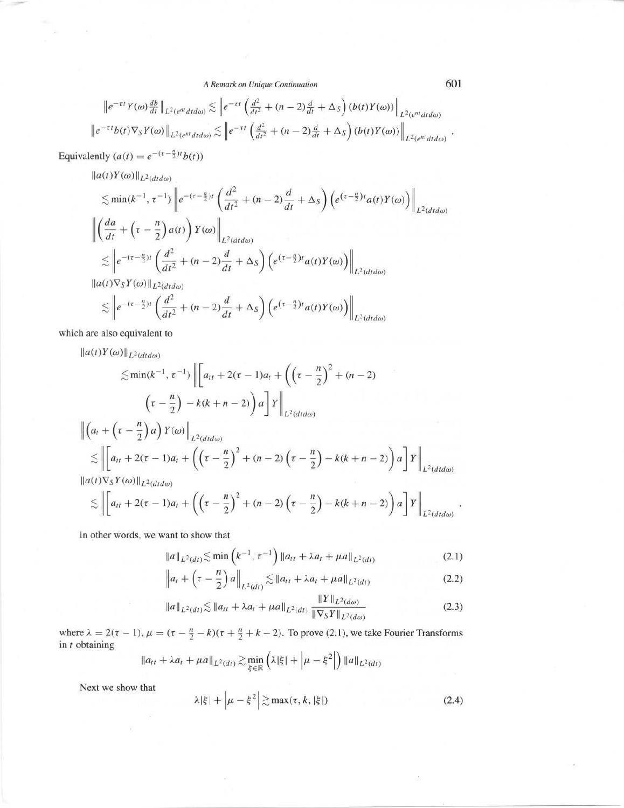A Remark on Unique Continuation

$$
\|e^{-\tau t}Y(\omega)\frac{db}{dt}\|_{L^2(e^{nt}dtd\omega)} \lesssim \|e^{-\tau t}\left(\frac{d^2}{dt^2} + (n-2)\frac{d}{dt} + \Delta_S\right)(b(t)Y(\omega))\|_{L^2(e^{nt}dtd\omega)}
$$
  

$$
\|e^{-\tau t}b(t)\nabla_S Y(\omega)\|_{L^2(e^{nt}dtd\omega)} \lesssim \|e^{-\tau t}\left(\frac{d^2}{dt^2} + (n-2)\frac{d}{dt} + \Delta_S\right)(b(t)Y(\omega))\|_{L^2(e^{nt}dtd\omega)}
$$

Equivalently  $(a(t) = e^{-(\tau - \frac{n}{2})t}b(t))$ 

 $\|a(t)Y(\omega)\|_{L^2(dtd\omega)}$ 

$$
\lesssim \min(k^{-1}, \tau^{-1}) \left\| e^{-(\tau - \frac{n}{2})t} \left( \frac{d^2}{dt^2} + (n-2) \frac{d}{dt} + \Delta_S \right) \left( e^{(\tau - \frac{n}{2})t} a(t) Y(\omega) \right) \right\|_{L^2(dtd\omega)}
$$
  

$$
\left\| \left( \frac{da}{dt} + \left( \tau - \frac{n}{2} \right) a(t) \right) Y(\omega) \right\|_{L^2(dtd\omega)}
$$
  

$$
\lesssim \left\| e^{-(\tau - \frac{n}{2})t} \left( \frac{d^2}{dt^2} + (n-2) \frac{d}{dt} + \Delta_S \right) \left( e^{(\tau - \frac{n}{2})t} a(t) Y(\omega) \right) \right\|_{L^2(dtd\omega)}
$$
  

$$
\| a(t) \nabla_S Y(\omega) \|_{L^2(dtd\omega)}
$$

$$
\lesssim \left\|e^{-(\tau-\frac{n}{2})t}\left(\frac{d^2}{dt^2}+(n-2)\frac{d}{dt}+\Delta_S\right)\left(e^{(\tau-\frac{n}{2})t}a(t)Y(\omega)\right)\right\|_{L^2(dtd\omega)}
$$

which are also equivalent to

 $||a(t)Y(\omega)||_{L^2(dtd\omega)}$ 

$$
\leq \min(k^{-1}, \tau^{-1}) \left\| \left[ a_{tt} + 2(\tau - 1)a_t + \left( \left( \tau - \frac{n}{2} \right)^2 + (n - 2) \right) \right] \right\|_{L^2(dtd\omega)}
$$
\n
$$
\left( \tau - \frac{n}{2} \right) - k(k + n - 2) \left\| a \right\| Y \right\|_{L^2(dtd\omega)}
$$
\n
$$
\left\| \left( a_t + \left( \tau - \frac{n}{2} \right) a \right) Y(\omega) \right\|_{L^2(dtd\omega)}
$$
\n
$$
\leq \left\| \left[ a_{tt} + 2(\tau - 1)a_t + \left( \left( \tau - \frac{n}{2} \right)^2 + (n - 2) \left( \tau - \frac{n}{2} \right) - k(k + n - 2) \right) a \right] Y \right\|_{L^2(dtd\omega)}
$$
\n
$$
\leq \left\| \left[ a_{tt} + 2(\tau - 1)a_t + \left( \left( \tau - \frac{n}{2} \right)^2 + (n - 2) \left( \tau - \frac{n}{2} \right) - k(k + n - 2) \right) a \right] Y \right\|_{L^2(dtd\omega)}
$$
\n
$$
\leq \left\| \left[ a_{tt} + 2(\tau - 1)a_t + \left( \left( \tau - \frac{n}{2} \right)^2 + (n - 2) \left( \tau - \frac{n}{2} \right) - k(k + n - 2) \right) a \right] Y \right\|_{L^2(dtd\omega)}
$$

In other words, we want to show that

$$
||a||_{L^{2}(dt)} \lesssim \min\left(k^{-1}, \tau^{-1}\right) ||a_{tt} + \lambda a_{t} + \mu a||_{L^{2}(dt)}
$$
\n(2.1)

$$
\|a_t + \left(\tau - \frac{n}{2}\right)a\|_{L^2(dt)} \lesssim \|a_{tt} + \lambda a_t + \mu a\|_{L^2(dt)}\tag{2.2}
$$

$$
\|a\|_{L^2(dt)} \lesssim \|a_{tt} + \lambda a_t + \mu a\|_{L^2(dt)} \frac{\|T\|_{L^2(d\omega)}}{\|\nabla_S Y\|_{L^2(d\omega)}}
$$
(2.3)

where  $\lambda = 2(\tau - 1)$ ,  $\mu = (\tau - \frac{n}{2} - k)(\tau + \frac{n}{2} + k - 2)$ . To prove (2.1), we take Fourier Transforms in *t* obtaining  $\sim$ 

$$
\|a_{tt} + \lambda a_t + \mu a\|_{L^2(dt)} \gtrsim \min_{\xi \in \mathbb{R}} \left( \lambda |\xi| + \left| \mu - \xi^2 \right| \right) \|a\|_{L^2(dt)}
$$

Next we show that

$$
\lambda |\xi| + \left| \mu - \xi^2 \right| \gtrsim \max(\tau, k, |\xi|)
$$
 (2.4)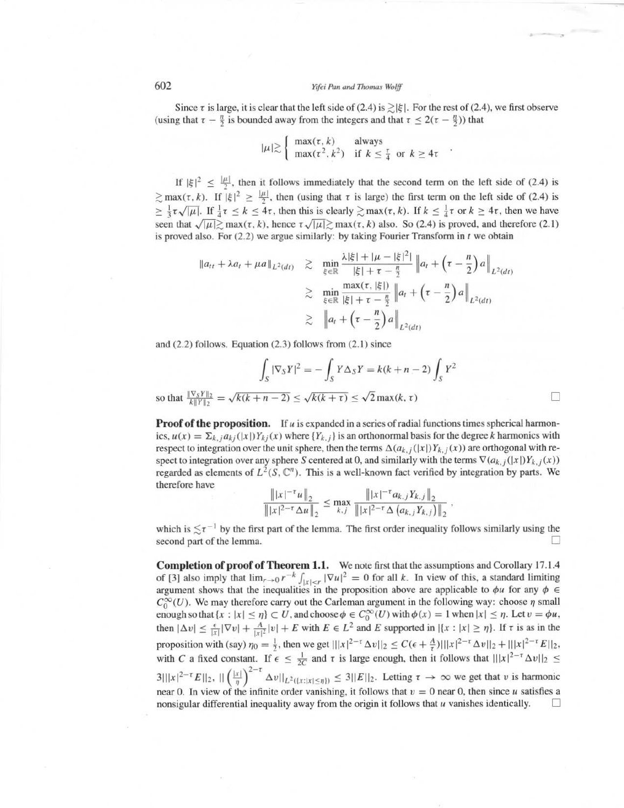# 602 Yifei Pan and Thomas Wolff

Since  $\tau$  is large, it is clear that the left side of (2.4) is  $\geq |\xi|$ . For the rest of (2.4), we first observe (using that  $\tau - \frac{n}{2}$  is bounded away from the integers and that  $\tau \leq 2(\tau - \frac{n}{2})$ ) that

$$
|\mu| \gtrsim \begin{cases} \max(\tau, k) & \text{always} \\ \max(\tau^2, k^2) & \text{if } k \le \frac{\tau}{4} \text{ or } k \ge 4\tau \end{cases}
$$

If  $|\xi|^2 \leq \frac{|\mu|}{2}$ , then it follows immediately that the second term on the left side of (2.4) is  $\gtrsim$  max( $\tau$ , k). If  $|\xi|^2 \geq \frac{|\mu|}{2}$ , then (using that  $\tau$  is large) the first term on the left side of (2.4) is  $\geq \frac{1}{3} \tau \sqrt{|\mu|}$ . If  $\frac{1}{4} \tau \leq k \leq 4\tau$ , then this is clearly  $\geq \max(\tau, k)$ . If  $k \leq \frac{1}{4} \tau$  or  $k \geq 4\tau$ , then we have seen that  $\sqrt{|\mu|} \ge \max(\tau, k)$ , hence  $\tau \sqrt{|\mu|} \ge \max(\tau, k)$  also. So (2.4) is proved, and therefore (2.1) is proved also. For  $(2.2)$  we argue similarly: by taking Fourier Transform in  $t$  we obtain

$$
\|a_{tt} + \lambda a_t + \mu a\|_{L^2(dt)} \ge \min_{\xi \in \mathbb{R}} \frac{\lambda |\xi| + |\mu - |\xi|^2|}{|\xi| + \tau - \frac{n}{2}} \|a_t + (\tau - \frac{n}{2})a\|_{L^2(dt)} \ge \min_{\xi \in \mathbb{R}} \frac{\max(\tau, |\xi|)}{|\xi| + \tau - \frac{n}{2}} \|a_t + (\tau - \frac{n}{2})a\|_{L^2(dt)} \ge \|a_t + (\tau - \frac{n}{2})a\|_{L^2(dt)}
$$

and  $(2.2)$  follows. Equation  $(2.3)$  follows from  $(2.1)$  since

$$
\int_{S} |\nabla_{S} Y|^{2} = -\int_{S} Y \Delta_{S} Y = k(k+n-2) \int_{S} Y^{2}
$$

П

so that  $\frac{\|\nabla_S Y\|_2}{k\|Y\|_2} = \sqrt{k(k + n - 2)} \le \sqrt{k(k + \tau)} \le \sqrt{2} \max(k, \tau)$ 

**Proof of the proposition.** If u is expanded in a series of radial functions times spherical harmonics,  $u(x) = \sum_{k,j} a_{kj}(|x|)Y_{kj}(x)$  where  $\{Y_{k,j}\}$  is an orthonormal basis for the degree k harmonics with respect to integration over the unit sphere, then the terms  $\Delta(a_{k,j}(|x|)Y_{k,j}(x))$  are orthogonal with respect to integration over any sphere S centered at 0, and similarly with the terms  $\nabla (a_{k,j}(|x|)Y_{k,j}(x))$ regarded as elements of  $L^2(S, \mathbb{C}^n)$ . This is a well-known fact verified by integration by parts. We therefore have

$$
\frac{\| |x|^{-\tau} u \|_2}{\| |x|^{2-\tau} \Delta u \|_2} \leq \max_{k,j} \frac{\| |x|^{-\tau} a_{k,j} Y_{k,j} \|_2}{\| |x|^{2-\tau} \Delta (a_{k,j} Y_{k,j}) \|_2},
$$

which is  $\leq \tau^{-1}$  by the first part of the lemma. The first order inequality follows similarly using the second part of the lemma.

Completion of proof of Theorem 1.1. We note first that the assumptions and Corollary 17.1.4 **Completion of proof of Theorem 1.1.** Worf [3] also imply that  $\lim_{r\to 0} r^{-k} \int_{|x| < r} |\nabla u|^2$  argument shows that the inequalities in the p  $= 0$  for all  $k$ . In view of this, a standard limiting argument shows that the inequalities in the proposition above are applicable to  $\phi u$  for any  $\phi \in$  $C_0^{\infty}(U)$ . We may therefore carry out the Carleman argument in the following way: choose  $\eta$  small enough so that  $\{x : |x| \leq \eta\} \subset U$ , and choose  $\phi \in C_0^{\infty}(U)$  with  $\phi(x) = 1$  when  $|x| \leq \eta$ . Let  $v = \phi u$ , then  $|\Delta v| \leq \frac{\epsilon}{|x|} |\nabla v| + \frac{A}{|x|^2} |v| + E$  with  $E \in L^2$  and E supported in  $|\{x : |x| \geq \eta\}$ . If  $\tau$  is as in the proposition with (say)  $\eta_0 = \frac{1}{2}$ , then we get  $|||x|^{2-\tau} \Delta v||_2 \leq C(\epsilon + \frac{A}{\tau})|||x|^{2-\tau} \Delta v||_2 + |||x|^{2-\tau} E||_2$ , with C a fixed constant. If  $\epsilon \leq \frac{1}{2C}$  and  $\tau$  is large enough, then it follows that  $|||x|^{2-\tau} \Delta v||_2 \leq$  $(\vert x \vert)^{2-\tau}$  $3|||x|^{2-\tau}E||_2$ ,  $||\left(\frac{|x|}{\eta}\right)^{-\tau} \Delta v||_{L^2(\{x:|x|\leq \eta\})} \leq 3||E||_2$ . Letting  $\tau \to \infty$  we get that v is harmonic near 0. In view of the infinite order vanishing, it follows that  $v = 0$  near 0, then since u satisfies a nonsigular differential inequality away from the origin it follows that  $u$  vanishes identically.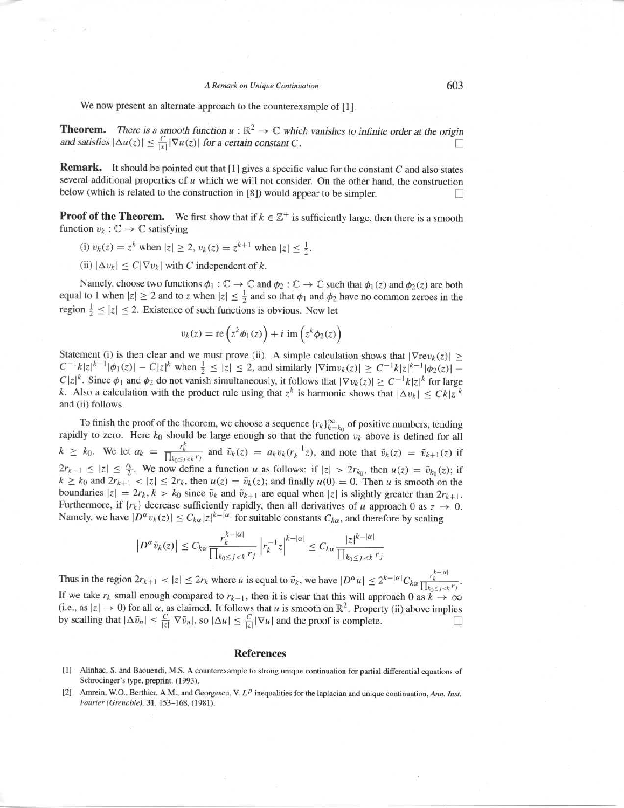#### ARemark on Unique Continuation

We now present an alternate approach to the counterexample of [1].

**Theorem.** There is a smooth function  $u : \mathbb{R}^2 \to \mathbb{C}$  which vanishes to infinite order at the origin and satisfies  $|\Delta u(z)| \leq \frac{C}{|x|} |\nabla u(z)|$  for a certain constant C.

Remark. It should be pointed out that [1] gives <sup>a</sup> specific value for the constant C and also states several additional properties of  $u$  which we will not consider. On the other hand, the construction below (which is related to the construction in [8]) would appear to be simpler.

**Proof of the Theorem.** We first show that if  $k \in \mathbb{Z}^+$  is sufficiently large, then there is a smooth function  $v_k : \mathbb{C} \to \mathbb{C}$  satisfying

- (i)  $v_k(z) = z^k$  when  $|z| \ge 2$ ,  $v_k(z) = z^{k+1}$  when  $|z| \le \frac{1}{2}$ .
- (ii)  $|\Delta v_k| \leq C |\nabla v_k|$  with C independent of k.

Namely, choose two functions  $\phi_1 : \mathbb{C} \to \mathbb{C}$  and  $\phi_2 : \mathbb{C} \to \mathbb{C}$  such that  $\phi_1(z)$  and  $\phi_2(z)$  are both equal to 1 when  $|z| \ge 2$  and to z when  $|z| \le \frac{1}{2}$  and so that  $\phi_1$  and  $\phi_2$  have no common zeroes in the region  $\frac{1}{2} \leq |z| \leq 2$ . Existence of such functions is obvious. Now let

$$
v_k(z) = \text{re}\left(z^k \phi_1(z)\right) + i \text{ im}\left(z^k \phi_2(z)\right)
$$

Statement (i) is then clear and we must prove (ii). A simple calculation shows that  $|\nabla \text{rev}_k(z)| \ge$  $C^{-1}k|z|^{k-1}|\phi_1(z)| - C|z|^k$  when  $\frac{1}{2} \leq |z| \leq 2$ , and similarly  $|\nabla \text{im} v_k(z)| \geq C^{-1}k|z|^{k-1}|\phi_2(z)| - C|z|^k$  $C|z|^k$ . Since  $\phi_1$  and  $\phi_2$  do not vanish simultaneously, it follows that  $|\nabla v_k(z)| \geq C^{-1}k|z|^k$  for large k. Also a calculation with the product rule using that  $z^k$  is harmonic shows that  $|\Delta v_k| \leq Ck|z|^k$ and (ii) follows

To finish the proof of the theorem, we choose a sequence  $\{r_k\}_{k=k_0}^{\infty}$  of positive numbers, tending rapidly to zero. Here  $k_0$  should be large enough so that the function  $v_k$  above is defined for all  $k \geq k_0$ . We let  $a_k = \frac{r_k^k}{\prod_{k_0 \leq j \leq k} r_j}$  and  $\tilde{v}_k(z) = a_k v_k (r_k^{-1} z)$ , and note that  $\tilde{v}_k(z) = \tilde{v}_{k+1}(z)$  if  $2r_{k+1} \leq |z| \leq \frac{r_k}{2}$ . We now define a function u as follows: if  $|z| > 2r_{k_0}$ , then  $u(z) = \tilde{v}_{k_0}(z)$ ; if  $k \ge k_0$  and  $2r_{k+1} < |z| \le 2r_k$ , then  $u(z) = \tilde{v}_k(z)$ ; and finally  $u(0) = 0$ . Then u is smooth on the boundaries  $|z| = 2r_k$ ,  $k > k_0$  since  $\tilde{v}_k$  and  $\tilde{v}_{k+1}$  are equal when  $|z|$  is slightly greater than  $2r_{k+1}$ . Furthermore, if  $\{r_k\}$  decrease sufficiently rapidly, then all derivatives of u approach 0 as  $z \rightarrow 0$ . Namely, we have  $|D^{\alpha}v_k(z)| \leq C_{k\alpha} |z|^{k-|\alpha|}$  for suitable constants  $C_{k\alpha}$ , and therefore by scaling

$$
\left|D^{\alpha}\tilde{v}_k(z)\right| \leq C_{k\alpha} \frac{r_k^{k-|\alpha|}}{\prod_{k_0 \leq j < k} r_j} \left| r_k^{-1} z \right|^{k-|\alpha|} \leq C_{k\alpha} \frac{|z|^{k-|\alpha|}}{\prod_{k_0 \leq j < k} r_j}
$$

Thus in the region  $2r_{k+1} < |z| \le 2r_k$  where u is equal to  $\tilde{v}_k$ , we have  $|D^{\alpha}u| \le 2^{k-|\alpha|}C_{k\alpha} \frac{r_k^{k-|\alpha|}}{\prod_{k_0 \le j \le k} r_j}$ If we take  $r_k$  small enough compared to  $r_{k-1}$ , then it is clear that this will approach 0 as  $k \to \infty$ (i.e., as  $|z| \to 0$ ) for all  $\alpha$ , as claimed. It follows that u is smooth on  $\mathbb{R}^2$ . Property (ii) above implies by scalling that  $|\Delta \tilde{v}_n| \leq \frac{C}{|z|} |\nabla \tilde{v}_n|$ , so  $|\Delta u| \leq \frac{C}{|z|} |\nabla u|$  and the proof is complete. n

### References

- [1] Alinhac, <sup>S</sup> . and Baouendi, M.S . A counterexample to strong unique continuation for partial differential equations of Schrodinger's type, preprint, (1993).
- [2] Amrein, W.O., Berthier, A.M., and Georgescu, V.  $L^p$  inequalities for the laplacian and unique continuation, Ann. Inst. Fourier (Grenoble), 31, 153-168, (1981) .